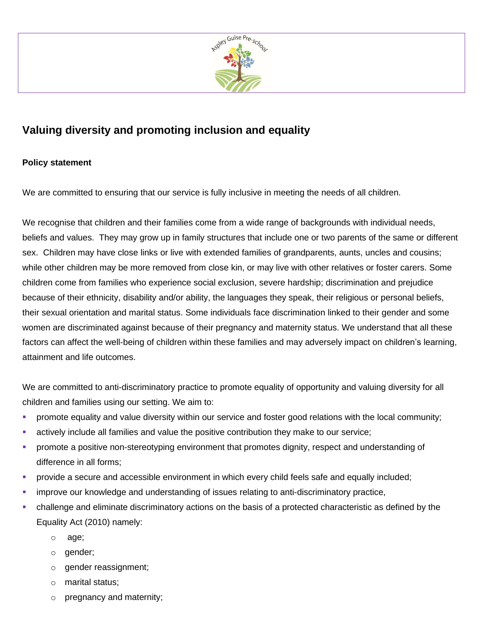

# **Valuing diversity and promoting inclusion and equality**

# **Policy statement**

We are committed to ensuring that our service is fully inclusive in meeting the needs of all children.

We recognise that children and their families come from a wide range of backgrounds with individual needs, beliefs and values. They may grow up in family structures that include one or two parents of the same or different sex. Children may have close links or live with extended families of grandparents, aunts, uncles and cousins; while other children may be more removed from close kin, or may live with other relatives or foster carers. Some children come from families who experience social exclusion, severe hardship; discrimination and prejudice because of their ethnicity, disability and/or ability, the languages they speak, their religious or personal beliefs, their sexual orientation and marital status. Some individuals face discrimination linked to their gender and some women are discriminated against because of their pregnancy and maternity status. We understand that all these factors can affect the well-being of children within these families and may adversely impact on children's learning, attainment and life outcomes.

We are committed to anti-discriminatory practice to promote equality of opportunity and valuing diversity for all children and families using our setting. We aim to:

- promote equality and value diversity within our service and foster good relations with the local community;
- **EXECT** actively include all families and value the positive contribution they make to our service;
- **•** promote a positive non-stereotyping environment that promotes dignity, respect and understanding of difference in all forms;
- **•** provide a secure and accessible environment in which every child feels safe and equally included;
- **EXED** improve our knowledge and understanding of issues relating to anti-discriminatory practice,
- challenge and eliminate discriminatory actions on the basis of a protected characteristic as defined by the Equality Act (2010) namely:
	- o age;
	- o gender;
	- o gender reassignment;
	- o marital status;
	- o pregnancy and maternity;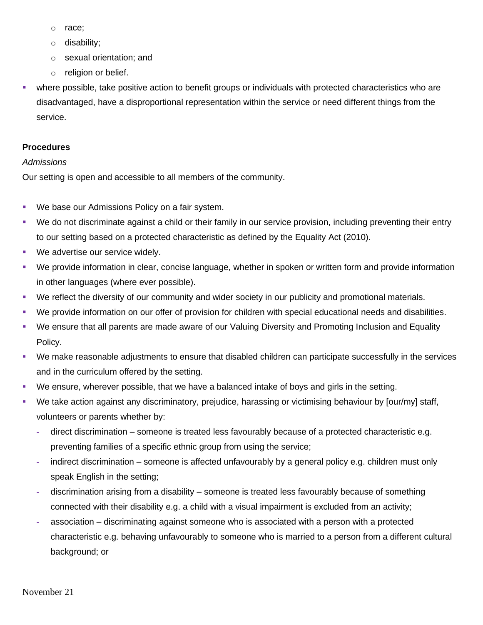- o race;
- o disability;
- o sexual orientation; and
- o religion or belief.
- **•** where possible, take positive action to benefit groups or individuals with protected characteristics who are disadvantaged, have a disproportional representation within the service or need different things from the service.

# **Procedures**

# *Admissions*

Our setting is open and accessible to all members of the community.

- We base our Admissions Policy on a fair system.
- We do not discriminate against a child or their family in our service provision, including preventing their entry to our setting based on a protected characteristic as defined by the Equality Act (2010).
- We advertise our service widely.
- We provide information in clear, concise language, whether in spoken or written form and provide information in other languages (where ever possible).
- We reflect the diversity of our community and wider society in our publicity and promotional materials.
- We provide information on our offer of provision for children with special educational needs and disabilities.
- We ensure that all parents are made aware of our Valuing Diversity and Promoting Inclusion and Equality Policy.
- We make reasonable adjustments to ensure that disabled children can participate successfully in the services and in the curriculum offered by the setting.
- We ensure, wherever possible, that we have a balanced intake of boys and girls in the setting.
- We take action against any discriminatory, prejudice, harassing or victimising behaviour by [our/my] staff, volunteers or parents whether by:
	- **-** direct discrimination someone is treated less favourably because of a protected characteristic e.g. preventing families of a specific ethnic group from using the service;
	- **-** indirect discrimination someone is affected unfavourably by a general policy e.g. children must only speak English in the setting;
	- **-** discrimination arising from a disability someone is treated less favourably because of something connected with their disability e.g. a child with a visual impairment is excluded from an activity;
	- **-** association discriminating against someone who is associated with a person with a protected characteristic e.g. behaving unfavourably to someone who is married to a person from a different cultural background; or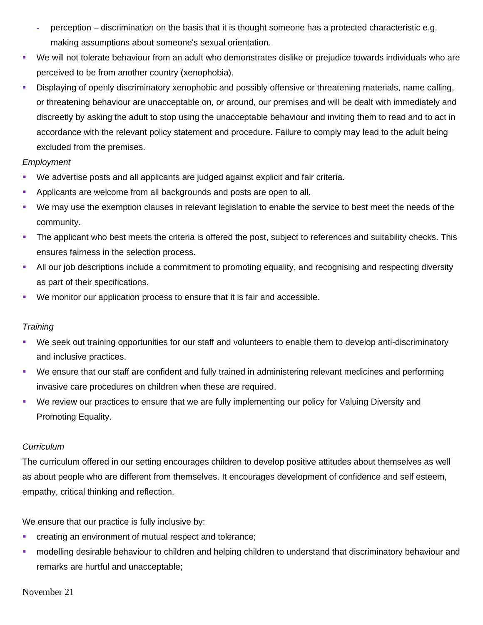- **-** perception discrimination on the basis that it is thought someone has a protected characteristic e.g. making assumptions about someone's sexual orientation.
- We will not tolerate behaviour from an adult who demonstrates dislike or prejudice towards individuals who are perceived to be from another country (xenophobia).
- Displaying of openly discriminatory xenophobic and possibly offensive or threatening materials, name calling, or threatening behaviour are unacceptable on, or around, our premises and will be dealt with immediately and discreetly by asking the adult to stop using the unacceptable behaviour and inviting them to read and to act in accordance with the relevant policy statement and procedure. Failure to comply may lead to the adult being excluded from the premises.

# *Employment*

- We advertise posts and all applicants are judged against explicit and fair criteria.
- **EXECT** Applicants are welcome from all backgrounds and posts are open to all.
- We may use the exemption clauses in relevant legislation to enable the service to best meet the needs of the community.
- The applicant who best meets the criteria is offered the post, subject to references and suitability checks. This ensures fairness in the selection process.
- All our job descriptions include a commitment to promoting equality, and recognising and respecting diversity as part of their specifications.
- We monitor our application process to ensure that it is fair and accessible.

# *Training*

- We seek out training opportunities for our staff and volunteers to enable them to develop anti-discriminatory and inclusive practices.
- We ensure that our staff are confident and fully trained in administering relevant medicines and performing invasive care procedures on children when these are required.
- We review our practices to ensure that we are fully implementing our policy for Valuing Diversity and Promoting Equality.

# *Curriculum*

The curriculum offered in our setting encourages children to develop positive attitudes about themselves as well as about people who are different from themselves. It encourages development of confidence and self esteem, empathy, critical thinking and reflection.

We ensure that our practice is fully inclusive by:

- creating an environment of mutual respect and tolerance;
- **•** modelling desirable behaviour to children and helping children to understand that discriminatory behaviour and remarks are hurtful and unacceptable;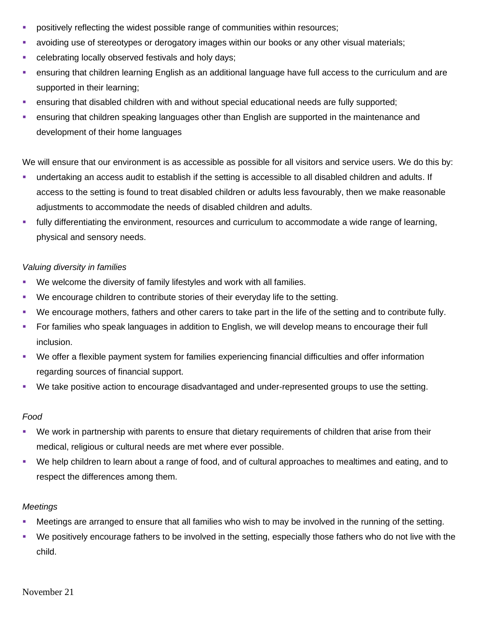- **•** positively reflecting the widest possible range of communities within resources;
- **•** avoiding use of stereotypes or derogatory images within our books or any other visual materials;
- celebrating locally observed festivals and holy days;
- ensuring that children learning English as an additional language have full access to the curriculum and are supported in their learning;
- **E** ensuring that disabled children with and without special educational needs are fully supported;
- **ensuring that children speaking languages other than English are supported in the maintenance and** development of their home languages

We will ensure that our environment is as accessible as possible for all visitors and service users. We do this by:

- undertaking an access audit to establish if the setting is accessible to all disabled children and adults. If access to the setting is found to treat disabled children or adults less favourably, then we make reasonable adjustments to accommodate the needs of disabled children and adults.
- **•** fully differentiating the environment, resources and curriculum to accommodate a wide range of learning, physical and sensory needs.

# *Valuing diversity in families*

- We welcome the diversity of family lifestyles and work with all families.
- We encourage children to contribute stories of their everyday life to the setting.
- We encourage mothers, fathers and other carers to take part in the life of the setting and to contribute fully.
- **•** For families who speak languages in addition to English, we will develop means to encourage their full inclusion.
- We offer a flexible payment system for families experiencing financial difficulties and offer information regarding sources of financial support.
- We take positive action to encourage disadvantaged and under-represented groups to use the setting.

#### *Food*

- We work in partnership with parents to ensure that dietary requirements of children that arise from their medical, religious or cultural needs are met where ever possible.
- We help children to learn about a range of food, and of cultural approaches to mealtimes and eating, and to respect the differences among them.

#### *Meetings*

- **Meetings are arranged to ensure that all families who wish to may be involved in the running of the setting.**
- We positively encourage fathers to be involved in the setting, especially those fathers who do not live with the child.